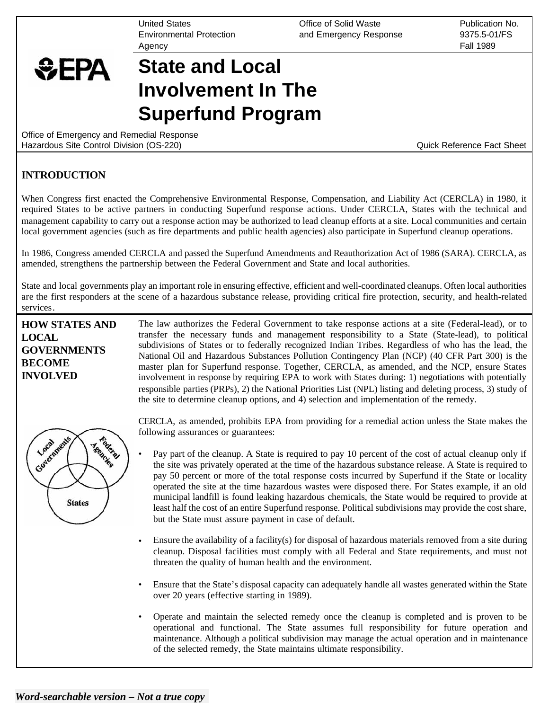United States Environmental Protection **Agency** 

Office of Solid Waste and Emergency Response Publication No. 9375.5-01/FS Fall 1989

## **State and Local Involvement In The Superfund Program**

Office of Emergency and Remedial Response Hazardous Site Control Division (OS-220) Quick Reference Fact Sheet

### **INTRODUCTION**

 $EPA$ 

When Congress first enacted the Comprehensive Environmental Response, Compensation, and Liability Act (CERCLA) in 1980, it required States to be active partners in conducting Superfund response actions. Under CERCLA, States with the technical and management capability to carry out a response action may be authorized to lead cleanup efforts at a site. Local communities and certain local government agencies (such as fire departments and public health agencies) also participate in Superfund cleanup operations.

In 1986, Congress amended CERCLA and passed the Superfund Amendments and Reauthorization Act of 1986 (SARA). CERCLA, as amended, strengthens the partnership between the Federal Government and State and local authorities.

State and local governments play an important role in ensuring effective, efficient and well-coordinated cleanups. Often local authorities are the first responders at the scene of a hazardous substance release, providing critical fire protection, security, and health-related services.

**HOW STATES AND LOCAL GOVERNMENTS BECOME INVOLVED** 

The law authorizes the Federal Government to take response actions at a site (Federal-lead), or to transfer the necessary funds and management responsibility to a State (State-lead), to political subdivisions of States or to federally recognized Indian Tribes. Regardless of who has the lead, the National Oil and Hazardous Substances Pollution Contingency Plan (NCP) (40 CFR Part 300) is the master plan for Superfund response. Together, CERCLA, as amended, and the NCP, ensure States involvement in response by requiring EPA to work with States during: 1) negotiations with potentially responsible parties (PRPs), 2) the National Priorities List (NPL) listing and deleting process, 3) study of the site to determine cleanup options, and 4) selection and implementation of the remedy.



CERCLA, as amended, prohibits EPA from providing for a remedial action unless the State makes the following assurances or guarantees:

- Pay part of the cleanup. A State is required to pay 10 percent of the cost of actual cleanup only if the site was privately operated at the time of the hazardous substance release. A State is required to pay 50 percent or more of the total response costs incurred by Superfund if the State or locality operated the site at the time hazardous wastes were disposed there. For States example, if an old municipal landfill is found leaking hazardous chemicals, the State would be required to provide at least half the cost of an entire Superfund response. Political subdivisions may provide the cost share, but the State must assure payment in case of default.
- Ensure the availability of a facility(s) for disposal of hazardous materials removed from a site during cleanup. Disposal facilities must comply with all Federal and State requirements, and must not threaten the quality of human health and the environment.
- Ensure that the State's disposal capacity can adequately handle all wastes generated within the State over 20 years (effective starting in 1989).
- Operate and maintain the selected remedy once the cleanup is completed and is proven to be operational and functional. The State assumes full responsibility for future operation and maintenance. Although a political subdivision may manage the actual operation and in maintenance of the selected remedy, the State maintains ultimate responsibility.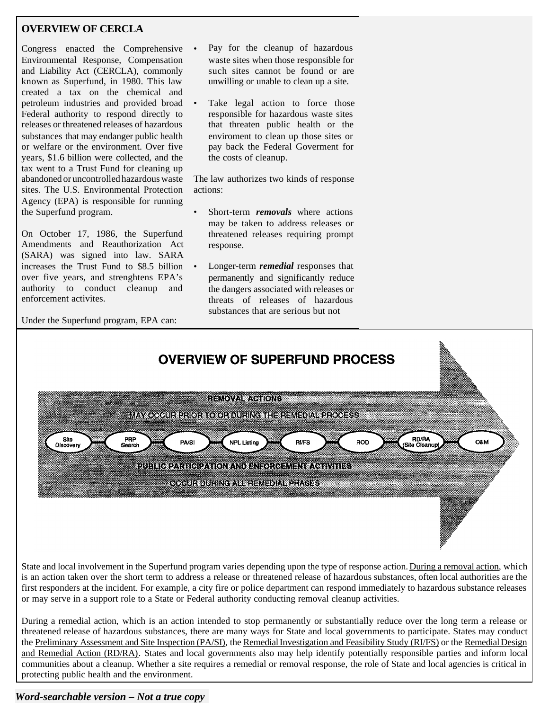#### **OVERVIEW OF CERCLA**

Congress enacted the Comprehensive Environmental Response, Compensation and Liability Act (CERCLA), commonly known as Superfund, in 1980. This law created a tax on the chemical and petroleum industries and provided broad Federal authority to respond directly to releases or threatened releases of hazardous substances that may endanger public health or welfare or the environment. Over five years, \$1.6 billion were collected, and the tax went to a Trust Fund for cleaning up abandoned or uncontrolled hazardous waste sites. The U.S. Environmental Protection Agency (EPA) is responsible for running the Superfund program.

On October 17, 1986, the Superfund Amendments and Reauthorization Act (SARA) was signed into law. SARA increases the Trust Fund to \$8.5 billion over five years, and strenghtens EPA's authority to conduct cleanup and enforcement activites.

Under the Superfund program, EPA can:

- Pay for the cleanup of hazardous waste sites when those responsible for such sites cannot be found or are unwilling or unable to clean up a site.
- Take legal action to force those responsible for hazardous waste sites that threaten public health or the enviroment to clean up those sites or pay back the Federal Goverment for the costs of cleanup.

The law authorizes two kinds of response actions:

- Short-term *removals* where actions may be taken to address releases or threatened releases requiring prompt response.
- Longer-term *remedial* responses that permanently and significantly reduce the dangers associated with releases or threats of releases of hazardous substances that are serious but not



State and local involvement in the Superfund program varies depending upon the type of response action. During a removal action, which is an action taken over the short term to address a release or threatened release of hazardous substances, often local authorities are the first responders at the incident. For example, a city fire or police department can respond immediately to hazardous substance releases or may serve in a support role to a State or Federal authority conducting removal cleanup activities.

During a remedial action, which is an action intended to stop permanently or substantially reduce over the long term a release or threatened release of hazardous substances, there are many ways for State and local governments to participate. States may conduct the Preliminary Assessment and Site Inspection (PA/SI), the Remedial Investigation and Feasibility Study (RI/FS) or the Remedial Design and Remedial Action (RD/RA). States and local governments also may help identify potentially responsible parties and inform local communities about a cleanup. Whether a site requires a remedial or removal response, the role of State and local agencies is critical in protecting public health and the environment.

#### *Word-searchable version – Not a true copy*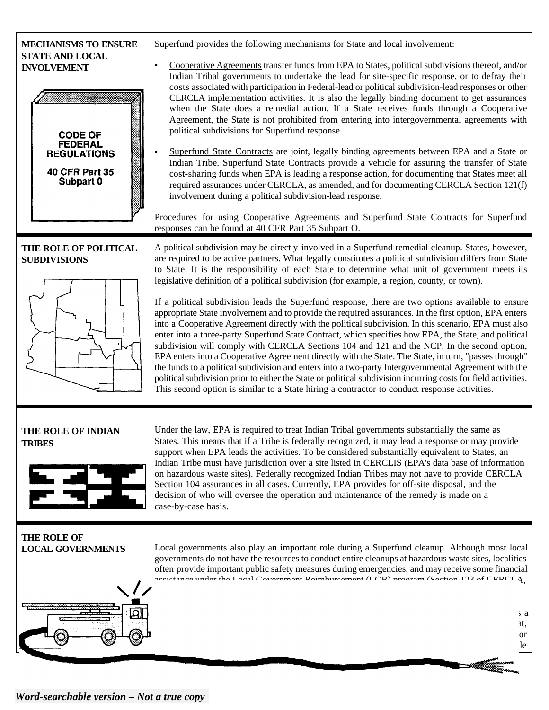#### **MECHANISMS TO ENSURE STATE AND LOCAL INVOLVEMENT**



Superfund provides the following mechanisms for State and local involvement:

- Cooperative Agreements transfer funds from EPA to States, political subdivisions thereof, and/or Indian Tribal governments to undertake the lead for site-specific response, or to defray their costs associated with participation in Federal-lead or political subdivision-lead responses or other CERCLA implementation activities. It is also the legally binding document to get assurances when the State does a remedial action. If a State receives funds through a Cooperative Agreement, the State is not prohibited from entering into intergovernmental agreements with political subdivisions for Superfund response.
- Superfund State Contracts are joint, legally binding agreements between EPA and a State or Indian Tribe. Superfund State Contracts provide a vehicle for assuring the transfer of State cost-sharing funds when EPA is leading a response action, for documenting that States meet all required assurances under CERCLA, as amended, and for documenting CERCLA Section 121(f) involvement during a political subdivision-lead response.

Procedures for using Cooperative Agreements and Superfund State Contracts for Superfund responses can be found at 40 CFR Part 35 Subpart O.

#### **THE ROLE OF POLITICAL SUBDIVISIONS**



A political subdivision may be directly involved in a Superfund remedial cleanup. States, however, are required to be active partners. What legally constitutes a political subdivision differs from State to State. It is the responsibility of each State to determine what unit of government meets its legislative definition of a political subdivision (for example, a region, county, or town).

If a political subdivision leads the Superfund response, there are two options available to ensure appropriate State involvement and to provide the required assurances. In the first option, EPA enters into a Cooperative Agreement directly with the political subdivision. In this scenario, EPA must also enter into a three-party Superfund State Contract, which specifies how EPA, the State, and political subdivision will comply with CERCLA Sections 104 and 121 and the NCP. In the second option, EPA enters into a Cooperative Agreement directly with the State. The State, in turn, "passes through" the funds to a political subdivision and enters into a two-party Intergovernmental Agreement with the political subdivision prior to either the State or political subdivision incurring costs for field activities. This second option is similar to a State hiring a contractor to conduct response activities.

#### **THE ROLE OF INDIAN TRIBES**



Under the law, EPA is required to treat Indian Tribal governments substantially the same as States. This means that if a Tribe is federally recognized, it may lead a response or may provide support when EPA leads the activities. To be considered substantially equivalent to States, an Indian Tribe must have jurisdiction over a site listed in CERCLIS (EPA's data base of information on hazardous waste sites). Federally recognized Indian Tribes may not have to provide CERCLA Section 104 assurances in all cases. Currently, EPA provides for off-site disposal, and the decision of who will oversee the operation and maintenance of the remedy is made on a case-by-case basis.

# **THE ROLE OF**

**LOCAL GOVERNMENTS** Local governments also play an important role during a Superfund cleanup. Although most local governments do not have the resources to conduct entire cleanups at hazardous waste sites, localities often provide important public safety measures during emergencies, and may receive some financial assistance under the Local Government Deimbursement (LCD) program (Section 192 of CEDCLA,

> $S$  alleviation is intended to alleviate significant financial burden on local governments as a a  $r_{\rm{at}}$  $\alpha$  of up to  $\alpha$  assistance of up to local governments. Requirements for  $\alpha$  $\mu$



*Word-searchable version – Not a true copy*